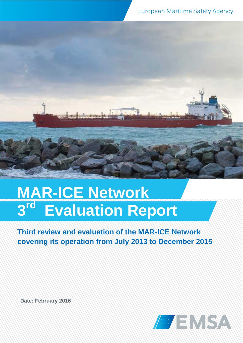# MAR-ICE Network<br>3<sup>rd</sup> Evaluation Rer **3 rd Evaluation Report**

# **Third review and evaluation of the MAR-ICE Network covering its operation from July 2013 to December 2015**

**Date: February 2016**

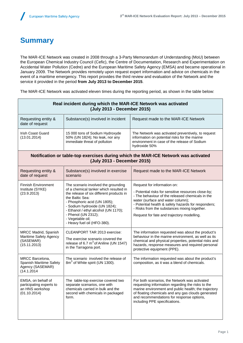# **Summary**

The MAR-ICE Network was created in 2008 through a 3-Party Memorandum of Understanding (MoU) between the European Chemical Industry Council (Cefic), the Centre of Documentation, Research and Experimentation on Accidental Water Pollution (Cedre) and the European Maritime Safety Agency (EMSA) and became operational in January 2009. The Network provides remotely upon request expert information and advice on chemicals in the event of a maritime emergency. This report provides the third review and evaluation of the Network and the service it provided in the period **from July 2013 to December 2015**.

The MAR-ICE Network was activated eleven times during the reporting period, as shown in the table below:

| Real incident during which the MAR-ICE Network was activated<br>(July 2013 - December 2015)                                                                                                                                                |                                                                                                                                                                                                                                                                                                                                 |                                                                                                                                                                                                                                                                                                   |  |  |  |
|--------------------------------------------------------------------------------------------------------------------------------------------------------------------------------------------------------------------------------------------|---------------------------------------------------------------------------------------------------------------------------------------------------------------------------------------------------------------------------------------------------------------------------------------------------------------------------------|---------------------------------------------------------------------------------------------------------------------------------------------------------------------------------------------------------------------------------------------------------------------------------------------------|--|--|--|
| Requesting entity &<br>date of request                                                                                                                                                                                                     | Substance(s) involved in incident                                                                                                                                                                                                                                                                                               | Request made to the MAR-ICE Network                                                                                                                                                                                                                                                               |  |  |  |
| <b>Irish Coast Guard</b><br>(13.01.2014)                                                                                                                                                                                                   | 15 000 tons of Sodium Hydroxyde<br>50% (UN 1824); No leak, nor any<br>immediate threat of pollution                                                                                                                                                                                                                             | The Network was activated preventively, to request<br>information on potential risks for the marine<br>environment in case of the release of Sodium<br>hydroxide 50%                                                                                                                              |  |  |  |
| Notification or table-top exercises during which the MAR-ICE Network was activated<br>(July 2013 - December 2015)                                                                                                                          |                                                                                                                                                                                                                                                                                                                                 |                                                                                                                                                                                                                                                                                                   |  |  |  |
| Requesting entity &<br>date of request                                                                                                                                                                                                     | Substance(s) involved in exercise<br>scenario                                                                                                                                                                                                                                                                                   | Request made to the MAR-ICE Network                                                                                                                                                                                                                                                               |  |  |  |
| <b>Finnish Environment</b>                                                                                                                                                                                                                 | The scenario involved the grounding<br>of a chemical tanker which resulted in<br>the release of six different products in<br>the Baltic Sea:<br>- Phosphoric acid (UN 1805);<br>- Sodium hydroxide (UN 1824);<br>- Ethanol / ethyl alcohol (UN 1170);<br>- Phenol (UN 2312);<br>- Vegetable oil;<br>- Heavy fuel oil (HFO-380). | Request for information on:                                                                                                                                                                                                                                                                       |  |  |  |
| Institute (SYKE)<br>(23.9.2013)                                                                                                                                                                                                            |                                                                                                                                                                                                                                                                                                                                 | - Potential risks for sensitive resources close-by;<br>- The behaviour of the released chemicals in the<br>water (surface and water column);<br>- Potential health & safety hazards for responders;<br>- Risks from the substances mixing together.<br>Request for fate and trajectory modelling. |  |  |  |
| MRCC Madrid, Spanish<br>Maritime Safety Agency<br>(SASEMAR)<br>(15.11.2013)                                                                                                                                                                | CLEANPORT TAR 2013 exercise:<br>The exercise scenario covered the<br>release of 6.7 $m^3$ of Aniline (UN 1547)<br>in the Tarragona port.                                                                                                                                                                                        | The information requested was about the product's<br>behaviour in the marine environment, as well as its<br>chemical and physical properties, potential risks and<br>hazards, response measures and required personal<br>protective equipment (PPE).                                              |  |  |  |
| MRCC Barcelona,<br>Spanish Maritime Safety<br>Agency (SASEMAR)<br>(14.1.2014                                                                                                                                                               | The scenario involved the release of<br>The information requested was about the product's<br>8m <sup>3</sup> of White spirit (UN 1300).<br>composition, as it was a blend of chemicals.                                                                                                                                         |                                                                                                                                                                                                                                                                                                   |  |  |  |
| EMSA, on behalf of<br>The table-top exercise covered two<br>participating experts to<br>separate scenarios, one with<br>an HNS workshop<br>chemicals carried in bulk and the<br>(01.10.2014)<br>second with chemicals in packaged<br>form. |                                                                                                                                                                                                                                                                                                                                 | For both scenarios, the Network was activated<br>requesting information regarding the risks to the<br>marine environment and public health; the trajectory<br>of floating chemicals and any gas clouds generated<br>and recommendations for response options,<br>including PPE specifications.    |  |  |  |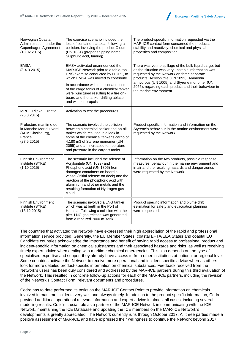

| Norwegian Coastal<br>Administration, under the<br>Copenhagen Agreement<br>(18.02.2015)        | The exercise scenario included the<br>loss of containers at sea, following a<br>collision, involving the product Oleum<br>(UN 1831) (proper shipping name:<br>Sulphuric acid, fuming).                                                                                                                                                                  | The product-specific information requested via the<br>MAR-ICE contact form concerned the product's<br>stability and reactivity, chemical and physical<br>properties and composition.                                                                                                                                                        |  |
|-----------------------------------------------------------------------------------------------|---------------------------------------------------------------------------------------------------------------------------------------------------------------------------------------------------------------------------------------------------------------------------------------------------------------------------------------------------------|---------------------------------------------------------------------------------------------------------------------------------------------------------------------------------------------------------------------------------------------------------------------------------------------------------------------------------------------|--|
| <b>EMSA</b><br>$(3-4.3.2015)$                                                                 | EMSA activated unannounced the<br>MAR-ICE Network prior to a table-top<br>HNS exercise conducted by ITOPF, to<br>which EMSA was invited to contribute.<br>In accordance with the scenario, some<br>of the cargo tanks of a chemical tanker<br>were punctured resulting to a fire on-<br>board and the tanker drifting ablaze<br>and without propulsion. | There was yet no spillage of the bulk liquid cargo, but<br>as the situation was very unstable information was<br>requested by the Network on three separate<br>products: Acrylonitrile (UN 1093), Ammonia<br>anhydrous (UN 1005) and Styrene monomer (UN<br>2055), regarding each product and their behaviour in<br>the marine environment. |  |
| MRCC Rijeka, Croatia<br>(25.3.2015)                                                           | Activation to test the procedures.                                                                                                                                                                                                                                                                                                                      |                                                                                                                                                                                                                                                                                                                                             |  |
| Prefecture maritime de<br>la Manche Mer du Nord,<br>(AEM Cherbourg),<br>France<br>(27.5.2015) | The scenario involved the collision<br>between a chemical tanker and an oil<br>tanker which resulted in a leak in<br>some of the chemical tanker's cargo of<br>4,180 m3 of Styrene monomer (UN<br>2055) and an increased temperature<br>and pressure in the cargo's tanks.                                                                              | Product-specific information and information on the<br>Styrene's behaviour in the marine environment were<br>requested by the Network.                                                                                                                                                                                                      |  |
| <b>Finnish Environment</b><br>Institute (SYKE)<br>(1.10.2015)                                 | The scenario included the release of<br>Acrylonitrile (UN 1093) and<br>Phosphoric acid (UN 1805) from<br>damaged containers on board a<br>vessel (initial release on deck) and the<br>reaction of the phosphoric acid with<br>aluminium and other metals and the<br>resulting formation of Hydrogen gas<br>cloud.                                       | Information on the two products, possible response<br>measures, behaviour in the marine environment and<br>in air and the resulting hazards and danger zones<br>were requested by the Network.                                                                                                                                              |  |
| <b>Finnish Environment</b><br>Institute (SYKE)<br>(18.12.2015)                                | The scenario involved a LNG tanker<br>which was at berth in the Port of<br>Hamina. Following a collision with the<br>pier LNG gas release was generated<br>from a raptured 7000 $m3$ tank.                                                                                                                                                              | Product specific information and plume drift<br>estimation for safety and evacuation planning<br>were requested.                                                                                                                                                                                                                            |  |

The countries that activated the Network have expressed their high appreciation of the rapid and professional information service provided. Generally, the EU Member States, coastal EFTA/EEA States and coastal EU Candidate countries acknowledge the importance and benefit of having rapid access to professional product and incident-specific information on chemical substances and their associated hazards and risks, as well as receiving timely expert advice when dealing with maritime chemical emergencies. This also depends on the type of specialised expertise and support they already have access to from other institutions at national or regional level. Some countries activate the Network to receive more operational and incident specific advice whereas others look for more detailed product-specific information on chemical substances. Feedback received from the Network's users has been duly considered and addressed by the MAR-ICE partners during this third evaluation of the Network. This resulted in concrete follow-up actions for each of the MAR-ICE partners, including the revision of the Network's Contact Form, relevant documents and procedures.

Cedre has to date performed its tasks as the MAR-ICE Contact Point to provide information on chemicals involved in maritime incidents very well and always timely. In addition to the product specific information, Cedre provided additional operational relevant information and expert advice in almost all cases, including several modelling results. Cefic's crucial role as a partner of the MAR-ICE Network in communicating with the ICE Network, maintaining the ICE Database and updating the ICE members on the MAR-ICE Network's developments is greatly appreciated. The Network currently runs through October 2017. All three parties made a positive assessment of MAR-ICE and have expressed their willingness to continue the Network beyond 2017.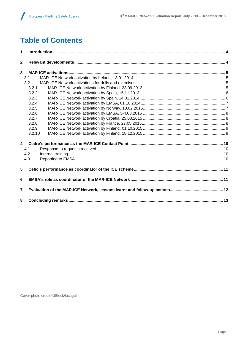# **Table of Contents**

| 1. |        |  |  |  |  |
|----|--------|--|--|--|--|
| 2. |        |  |  |  |  |
|    |        |  |  |  |  |
|    | 3.1    |  |  |  |  |
|    | 3.2    |  |  |  |  |
|    | 3.2.1  |  |  |  |  |
|    | 3.2.2  |  |  |  |  |
|    | 3.2.3  |  |  |  |  |
|    | 3.2.4  |  |  |  |  |
|    | 3.2.5  |  |  |  |  |
|    | 3.2.6  |  |  |  |  |
|    | 3.2.7  |  |  |  |  |
|    | 3.2.8  |  |  |  |  |
|    | 3.2.9  |  |  |  |  |
|    | 3.2.10 |  |  |  |  |
| 4. |        |  |  |  |  |
|    | 4.1    |  |  |  |  |
|    | 4.2    |  |  |  |  |
|    | 4.3    |  |  |  |  |
| 5. |        |  |  |  |  |
| 6. |        |  |  |  |  |
| 7. |        |  |  |  |  |
| 8. |        |  |  |  |  |

Cover photo credit ©iStock/lucagal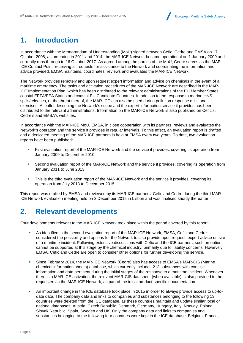# **1. Introduction**

In accordance with the Memorandum of Understanding (MoU) signed between Cefic, Cedre and EMSA on 17 October 2008, as amended in 2011 and 2014, the MAR-ICE Network became operational on 1 January 2009 and currently runs through to 16 October 2017. As agreed among the parties of the MoU, Cedre serves as the MAR-ICE Contact Point, receiving all requests for assistance to the Network and coordinating the information and advice provided. EMSA maintains, coordinates, reviews and evaluates the MAR-ICE Network.

The Network provides remotely and upon request expert information and advice on chemicals in the event of a maritime emergency. The tasks and activation procedures of the MAR-ICE Network are described in the MAR-ICE Implementation Plan, which has been distributed to the relevant administrations of the EU Member States, coastal EFTA/EEA States and coastal EU Candidate Countries. In addition to the response to marine HNS spills/releases, or the threat thereof, the MAR-ICE can also be used during pollution response drills and exercises. A leaflet describing the Network's scope and the expert information service it provides has been distributed to the relevant administrations. Information on the MAR-ICE Network is also published on Cefic's, Cedre's and EMSA's websites.

In accordance with the MAR-ICE MoU, EMSA, in close cooperation with its partners, reviews and evaluates the Network's operation and the service it provides in regular intervals. To this effect, an evaluation report is drafted and a dedicated meeting of the MAR-ICE partners is held at EMSA every two years. To date, two evaluation reports have been published:

- First evaluation report of the MAR-ICE Network and the service it provides, covering its operation from January 2009 to December 2010;
- Second evaluation report of the MAR-ICE Network and the service it provides, covering its operation from January 2011 to June 2013.
- **This is the third evaluation report of the MAR-ICE Network and the service it provides, covering its** operation from July 2013 to December 2015.

This report was drafted by EMSA and reviewed by its MAR-ICE partners, Cefic and Cedre during the third MAR-ICE Network evaluation meeting held on 3 December 2015 in Lisbon and was finalised shortly thereafter.

### **2. Relevant developments**

Four developments relevant to the MAR-ICE Network took place within the period covered by this report:

- As identified in the second evaluation report of the MAR-ICE Network, EMSA, Cefic and Cedre considered the possibility and options for the Network to also provide upon request, expert advice on site of a maritime incident. Following extensive discussions with Cefic and the ICE partners, such an option cannot be supported at this stage by the chemical industry, primarily due to liability concerns. However, EMSA, Cefic and Cedre are open to consider other options for further developing the service.
- Since February 2014, the MAR-ICE Network (Cedre) also has access to EMSA's MAR-CIS (Marine chemical information sheets) database, which currently includes 213 substances with concise information and data pertinent during the initial stages of the response to a maritime incident. Whenever there is a MAR-ICE activation, the relevant MAR-CIS datasheet (when available) is also provided to the requester via the MAR-ICE Network, as part of the initial product-specific documentation.
- An important change in the ICE database took place in 2015 in order to always provide access to up-to date data. The company data and links to companies and substances belonging to the following 13 countries were deleted from the ICE database, as these countries maintain and update similar local or national databases: Austria, Czech Republic, Denmark, Germany, Hungary, Italy, Norway, Poland, Slovak Republic, Spain, Sweden and UK. Only the company data and links to companies and substances belonging to the following four countries were kept in the ICE database: Belgium, France,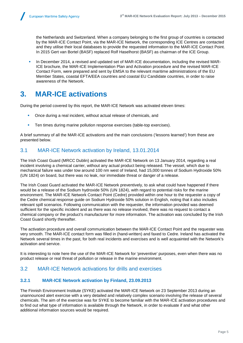the Netherlands and Switzerland. When a company belonging to the first group of countries is contacted by the MAR-ICE Contact Point, via the MAR-ICE Network, the corresponding ICE Centres are contacted and they utilise their local databases to provide the requested information to the MAR-ICE Contact Point. In 2015 Gert van Bortel (BASF) replaced Rolf Haselhorst (BASF) as chairman of the ICE Group.

 In December 2014, a revised and updated set of MAR-ICE documentation, including the revised MAR-ICE brochure, the MAR-ICE Implementation Plan and Activation procedure and the revised MAR-ICE Contact Form, were prepared and sent by EMSA to the relevant maritime administrations of the EU Member States, coastal EFTA/EEA countries and coastal EU Candidate countries, in order to raise awareness of the Network.

# **3. MAR-ICE activations**

During the period covered by this report, the MAR-ICE Network was activated eleven times:

- Once during a real incident, without actual release of chemicals, and
- Ten times during marine pollution response exercises (table-top exercises).

A brief summary of all the MAR-ICE activations and the main conclusions ('lessons learned') from these are presented below.

#### 3.1 MAR-ICE Network activation by Ireland, 13.01.2014

The Irish Coast Guard (MRCC Dublin) activated the MAR-ICE Network on 13 January 2014, regarding a real incident involving a chemical carrier, without any actual product being released. The vessel, which due to mechanical failure was under tow around 100 nm west of Ireland, had 15,000 tonnes of Sodium Hydroxide 50% (UN 1824) on board, but there was no leak, nor immediate threat or danger of a release.

The Irish Coast Guard activated the MAR-ICE Network preventively, to ask what could have happened if there would be a release of the Sodium hydroxide 50% (UN 1824), with regard to potential risks for the marine environment. The MAR-ICE Network Contact Point (Cedre) provided within one hour to the requester a copy of the Cedre chemical response guide on Sodium Hydroxide 50% solution in English, noting that it also includes relevant spill scenarios. Following communication with the requester, the information provided was deemed sufficient for the specific incident and as there was no release involved, there was no request to contact a chemical company or the product's manufacturer for more information. The activation was concluded by the Irish Coast Guard shortly thereafter.

The activation procedure and overall communication between the MAR-ICE Contact Point and the requester was very smooth. The MAR-ICE contact form was filled in (hand-written) and faxed to Cedre. Ireland has activated the Network several times in the past, for both real incidents and exercises and is well acquainted with the Network's activation and service.

It is interesting to note here the use of the MAR-ICE Network for 'preventive' purposes, even when there was no product release or real threat of pollution or release in the marine environment.

#### 3.2 MAR-ICE Network activations for drills and exercises

#### **3.2.1 MAR-ICE Network activation by Finland, 23.09.2013**

The Finnish Environment Institute (SYKE) activated the MAR-ICE Network on 23 September 2013 during an unannounced alert exercise with a very detailed and relatively complex scenario involving the release of several chemicals. The aim of the exercise was for SYKE to become familiar with the MAR-ICE activation procedures and to find out what type of information is available through the Network, in order to evaluate if and what other additional information sources would be required.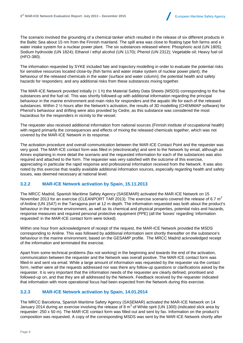

The scenario involved the grounding of a chemical tanker which resulted in the release of six different products in the Baltic Sea about 15 nm from the Finnish mainland. The spill area was close to floating type fish farms and a water intake system for a nuclear power plant. The six substances released where: Phosphoric acid (UN 1805); Sodium hydroxide (UN 1824); Ethanol / ethyl alcohol (UN 1170); Phenol (UN 2312); Vegetable oil; Heavy fuel oil (HFO-380).

The information requested by SYKE included fate and trajectory modelling in order to evaluate the potential risks for sensitive resources located close-by (fish farms and water intake system of nuclear power plant); the behaviour of the released chemicals in the water (surface and water column); the potential health and safety hazards for responders; and any additional risks from these substances mixing together.

The MAR-ICE Network provided initially (< 1 h) the Material Safety Data Sheets (MSDS) corresponding to the five substances and the fuel oil. This was shortly followed-up with additional information regarding the principal behaviour in the marine environment and main risks for responders and the aquatic life for each of the released substances. Within 2 ½ hours after the Network's activation, the results of 3D modelling (CHEMMAP software) for Phenol's behaviour and drifting were also provided by Cedre, as this substance was considered the most hazardous for the responders in vicinity to the vessel.

The requester also received additional information from national sources (Finnish institute of occupational health) with regard primarily the consequences and effects of mixing the released chemicals together, which was not covered by the MAR-ICE Network in its response.

The activation procedure and overall communication between the MAR-ICE Contact Point and the requester was very good. The MAR-ICE contact form was filled in (electronically) and sent to the Network by email, although an Annex explaining in more detail the scenario and the requested information for each of the substances was also required and attached to the form. The requester was very satisfied with the outcome of this exercise, appreciating in particular the rapid response and professional information received from the Network. It was also noted by this exercise that readily available additional information sources, especially regarding health and safety issues, was deemed necessary at national level.

#### **3.2.2 MAR-ICE Network activation by Spain, 15.11.2013**

The MRCC Madrid, Spanish Maritime Safety Agency (SASEMAR) activated the MAR-ICE Network on 15 November 2013 for an exercise (CLEANPORT TAR 2013). The exercise scenario covered the release of 6.7  $\mathrm{m}^{3}$ of Aniline (UN 1547) in the Tarragona port at 12 m depth. The information requested was both about the product's behaviour in the marine environment, as well as its chemical and physical properties, potential risks and hazards, response measures and required personal protective equipment (PPE) (all the 'boxes' regarding 'information requested' in the MAR-ICE contact form were ticked).

Within one hour from acknowledgment of receipt of the request, the MAR-ICE Network provided the MSDS corresponding to Aniline. This was followed by additional information sent shortly thereafter on the substance's behaviour in the marine environment, based on the GESAMP profile. The MRCC Madrid acknowledged receipt of the information and terminated the exercise.

Apart from some technical problems (fax not working) in the beginning and towards the end of the activation, communication between the requester and the Network was overall positive. The MAR-ICE contact form was filled-in and sent via email. While a large amount of information was requested by the requester via the contact form, neither were all the requests addressed nor was there any follow-up questions or clarifications asked by the requester. It is very important that the information needs of the requester are clearly defined, prioritised and followed-up on, and that they are all addressed by the Network. Feedback received by the requester indicated that information with more operational focus had been expected from the Network during this exercise.

#### **3.2.3 MAR-ICE Network activation by Spain, 14.01.2014**

The MRCC Barcelona, Spanish Maritime Safety Agency (SASEMAR) activated the MAR-ICE Network on 14 January 2014 during an exercise involving the release of 8  $\text{m}^{3}$  of White sprit (UN 1300) (indicated slick area by requester: 250 x 50 m). The MAR-ICE contact form was filled out and sent by fax. Information on the product's composition was requested. A copy of the corresponding MSDS was sent by the MAR-ICE Network shortly after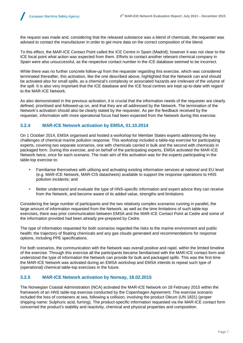the request was made and, considering that the released substance was a blend of chemicals, the requester was advised to contact the manufacturer in order to get more data on the correct composition of the blend.

To this effect, the MAR-ICE Contact Point called the ICE Centre in Spain (Madrid); however it was not clear to the ICE focal point what action was expected from them. Efforts to contact another relevant chemical company in Spain were also unsuccessful, as the respective contact number in the ICE database seemed to be incorrect.

While there was no further concrete follow-up from the requester regarding this exercise, which was considered terminated thereafter, this activation, like the one described above, highlighted that the Network can and should be activated also for small spills, as a chemical's complexity or associated hazards are irrelevant of the volume of the spill. It is also very important that the ICE database and the ICE focal centres are kept up-to-date with regard to the MAR-ICE Network.

As also demonstrated in the previous activation, it is crucial that the information needs of the requester are clearly defined, prioritised and followed-up on, and that they are all addressed by the Network. The termination of the Network's activation should also be clearly stated by the requester. As per the feedback received by the requester, information with more operational focus had been expected from the Network during this exercise.

#### **3.2.4 MAR-ICE Network activation by EMSA, 01.10.2014**

On 1 October 2014, EMSA organised and hosted a workshop for Member States experts addressing the key challenges of chemical marine pollution response. This workshop included a table-top exercise for participating experts, covering two separate scenarios, one with chemicals carried in bulk and the second with chemicals in packaged form. During this exercise, and on behalf of the participating experts, EMSA activated the MAR-ICE Network twice, once for each scenario. The main aim of this activation was for the experts participating in the table-top exercise to:

- Familiarise themselves with utilising and activating existing information services at national and EU level (e.g. MAR-ICE Network, MAR-CIS datasheets) available to support the response operations to HNS pollution incidents; and
- Better understand and evaluate the type of HNS-specific information and expert advice they can receive from the Network, and become aware of its added value, strengths and limitations

Considering the large number of participants and the two relatively complex scenarios running in parallel, the large amount of information requested from the Network, as well as the time limitations of such table-top exercises, there was prior communication between EMSA and the MAR-ICE Contact Point at Cedre and some of the information provided had been already pre-prepared by Cedre.

The type of information requested for both scenarios regarded the risks to the marine environment and public health; the trajectory of floating chemicals and any gas clouds generated and recommendations for response options, including PPE specifications.

For both scenarios, the communication with the Network was overall positive and rapid, within the limited timeline of the exercise. Through this exercise all the participants became familiarised with the MAR-ICE contact form and understood the type of information the Network can provide for bulk and packaged spills. This was the first time the MAR-ICE Network was activated during an EMSA workshop and EMSA intends to repeat such type of (operational) chemical table-top exercises in the future.

#### **3.2.5 MAR-ICE Network activation by Norway, 18.02.2015**

The Norwegian Coastal Administration (NCA) activated the MAR-ICE Network on 18 February 2015 within the framework of an HNS table-top exercise conducted by the Copenhagen Agreement. The exercise scenario included the loss of containers at sea, following a collision, involving the product Oleum (UN 1831) (proper shipping name: Sulphuric acid, fuming). The product-specific information requested via the MAR-ICE contact form concerned the product's stability and reactivity, chemical and physical properties and composition.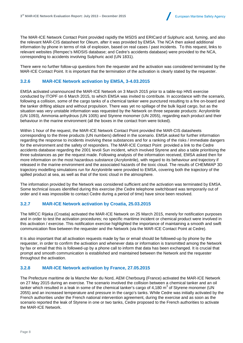

The MAR-ICE Network Contact Point provided rapidly the MSDS and ERICard of Sulphuric acid, fuming, and also the relevant MAR-CIS datasheet for Oleum, after it was provided by EMSA. The NCA then asked additional information by phone in terms of risk of explosion, based on real cases / past incidents. To this request, links to relevant websites (Rempec's MIDSIS database; and Cedre's accidents database) were provided to the NCA, corresponding to accidents involving Sulphuric acid (UN 1831).

There were no further follow-up questions from the requester and the activation was considered terminated by the MAR-ICE Contact Point. It is important that the termination of the activation is clearly stated by the requester.

#### **3.2.6 MAR-ICE Network activation by EMSA, 3-4.03.2015**

EMSA activated unannounced the MAR-ICE Network on 3 March 2015 prior to a table-top HNS exercise conducted by ITOPF on 6 March 2015, to which EMSA was invited to contribute. In accordance with the scenario, following a collision, some of the cargo tanks of a chemical tanker were punctured resulting to a fire on-board and the tanker drifting ablaze and without propulsion. There was yet no spillage of the bulk liquid cargo, but as the situation was very unstable information was requested by the Network on three separate products: Acrylonitrile (UN 1093), Ammonia anhydrous (UN 1005) and Styrene monomer (UN 2055), regarding each product and their behaviour in the marine environment (all the boxes in the contact from were ticked).

Within 1 hour of the request, the MAR-ICE Network Contact Point provided the MAR-CIS datasheets corresponding to the three products (UN numbers) defined in the scenario. EMSA asked for further information regarding the response to incidents involving these substances and for a ranking of the risks / immediate dangers for the environment and the safety of responders. The MAR-ICE Contact Point provided a link to the Cedre accidents database regarding the 2001 Ievoli Sun incident, which involved Styrene and also a table prioritising the three substances as per the request made. Following analysis of the information received, EMSA asked then for more information on the most hazardous substance (Acrylonitrile), with regard to its behaviour and trajectory if released in the marine environment and the associated hazards of the toxic cloud. The results of CHEMMAP 3D trajectory modelling simulations run for Acrylonitrile were provided to EMSA, covering both the trajectory of the spilled product at sea, as well as that of the toxic cloud in the atmosphere.

The information provided by the Network was considered sufficient and the activation was terminated by EMSA. Some technical issues identified during this exercise (the Cedre telephone switchboard was temporarily out of order and it was impossible to contact Cedre during a period of time) have since been resolved.

#### **3.2.7 MAR-ICE Network activation by Croatia, 25.03.2015**

The MRCC Rijeka (Croatia) activated the MAR-ICE Network on 25 March 2015, merely for notification purposes and in order to test the activation procedures; no specific maritime incident or chemical product were involved in this activation / exercise. This notification exercise highlighted the importance of maintaining a smooth and swift communication flow between the requester and the Network (via the MAR-ICE Contact Point at Cedre).

It is also important that all activation requests made by fax or email should be followed-up by phone by the requester, in order to confirm the activation and whenever data or information is transmitted among the Network by fax or email that this is followed-up by a phone call to inform that data has been exchanged. It is crucial that prompt and smooth communication is established and maintained between the Network and the requester throughout the activation.

#### **3.2.8 MAR-ICE Network activation by France, 27.05.2015**

The Prefecture maritime de la Manche Mer du Nord, AEM Cherbourg (France) activated the MAR-ICE Network on 27 May 2015 during an exercise. The scenario involved the collision between a chemical tanker and an oil tanker which resulted in a leak in some of the chemical tanker's cargo of 4,180 m $^3$  of Styrene monomer (UN 2055) and an increased temperature and pressure in the cargo's tanks. While Cedre was initially activated by the French authorities under the French national intervention agreement, during the exercise and as soon as the scenario reported the leak of Styrene in one or two tanks, Cedre proposed to the French authorities to activate the MAR-ICE Network.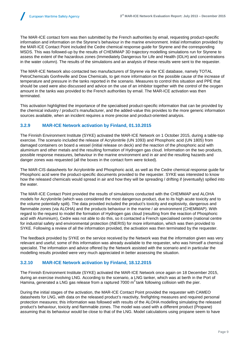The MAR-ICE contact form was then submitted by the French authorities by email, requesting product-specific information and information on the Styrene's behaviour in the marine environment. Initial information provided by the MAR-ICE Contact Point included the Cedre chemical response guide for Styrene and the corresponding MSDS. This was followed-up by the results of CHEMMAP 3D trajectory modelling simulations run for Styrene to assess the extent of the hazardous zones (Immediately Dangerous for Life and Health (IDLH) and concentrations in the water column). The results of the simulations and an analysis of these results were sent to the requester.

The MAR-ICE Network also contacted two manufacturers of Styrene via the ICE database, namely TOTAL PetroChemicals Gonfreville and Dow Chemicals, to get more information on the possible cause of the increase of temperature and pressure in the tanks reported in the scenario. Measures to control this situation and PPE that should be used were also discussed and advice on the use of an inhibitor together with the control of the oxygen amount in the tanks was provided to the French authorities by email. The MAR-ICE activation was then terminated.

This activation highlighted the importance of the specialised product-specific information that can be provided by the chemical industry / product's manufacturer, and the added-value this provides to the more generic information sources available, when an incident requires a more precise and product-oriented analysis.

#### **3.2.9 MAR-ICE Network activation by Finland, 01.10.2015**

The Finnish Environment Institute (SYKE) activated the MAR-ICE Network on 1 October 2015, during a table-top exercise. The scenario included the release of Acrylonitrile (UN 1093) and Phosphoric acid (UN 1805) from damaged containers on board a vessel (initial release on deck) and the reaction of the phosphoric acid with aluminium and other metals and the resulting formation of Hydrogen gas cloud. Information on the two products, possible response measures, behaviour in the marine environment and in air and the resulting hazards and danger zones was requested (all the boxes in the contact form were ticked).

The MAR-CIS datasheets for Acrylonitrile and Phosphoric acid, as well as the Cedre chemical response guide for Phosphoric acid were the product-specific documents provided to the requester. SYKE was interested to know how the released chemicals would spread in air and how they will be spreading / drifting if (eventually) spilled into the water.

The MAR-ICE Contact Point provided the results of simulations conducted with the CHEMMAP and ALOHA models for Acrylonitrile (which was considered the most dangerous product, due to its high acute toxicity and to the volume potentially spilt). The data provided included the product's toxicity and explosivity, dangerous and flammable zones (via ALOHA) and the products behaviour in the marine / air environment (CHEMMAP). With regard to the request to model the formation of Hydrogen gas cloud (resulting from the reaction of Phosphoric acid with Aluminium), Cedre was not able to do this, so it contacted a French specialised centre (national centre for industrial safety and environmental protection (INERIS) for more information, which was then provided to SYKE. Following a review of all the information provided, the activation was then terminated by the requester.

The feedback provided by SYKE on the service received by the Network was that the information given was very relevant and useful; some of this information was already available to the requester, who was himself a chemical specialist. The information and advice offered by the Network assisted with the scenario and in particular the modelling results provided were very much appreciated in better assessing the situation.

#### **3.2.10 MAR-ICE Network activation by Finland, 18.12.2015**

The Finnish Environment Institute (SYKE) activated the MAR-ICE Network once again on 18 December 2015, during an exercise involving LNG. According to the scenario, a LNG tanker, which was at berth in the Port of Hamina, generated a LNG gas release from a raptured 7000 m<sup>3</sup> tank following collision with the pier.

During the initial stages of the activation, the MAR-ICE Contact Point provided the requester with CAMEO datasheets for LNG, with data on the released product's reactivity, firefighting measures and required personal protection measures; this information was followed with results of the ALOHA modelling simulating the released product's behaviour, toxicity and flammable zones. The model was used with a different product (Propane) assuming that its behaviour would be close to that of the LNG. Model calculations using propane seem to have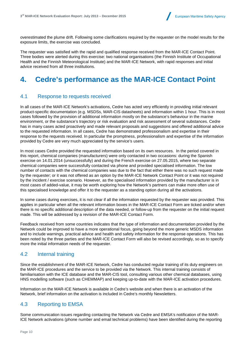

overestimated the plume drift. Following some clarifications required by the requester on the model results for the exposure limits, the exercise was concluded.

The requester was satisfied with the rapid and qualified response received from the MAR-ICE Contact Point. Three bodies were alerted during this exercise: two national organisations (the Finnish Institute of Occupational Health and the Finnish Meteorological Institute) and the MAR-ICE Network, with rapid responses and initial advice received from all three institutions.

# **4. Cedre's performance as the MAR-ICE Contact Point**

#### 4.1 Response to requests received

In all cases of the MAR-ICE Network's activations, Cedre has acted very efficiently in providing initial relevant product-specific documentation (e.g. MSDSs, MAR-CIS datasheets) and information within 1 hour. This is in most cases followed by the provision of additional information mostly on the substance's behaviour in the marine environment, or the substance's trajectory or risk evaluation and risk assessment of several substances. Cedre has in many cases acted proactively and made relevant proposals and suggestions and offered additional advice to the requested information. In all cases, Cedre has demonstrated professionalism and expertise in their response to the requests received. In particular the promptness, professionalism and expertise of the information provided by Cedre are very much appreciated by the service's users.

In most cases Cedre provided the requested information based on its own resources. In the period covered in this report, chemical companies (manufacturers) were only contacted in two occasions: during the Spanish exercise on 14.01.2014 (unsuccessfully) and during the French exercise on 27.05.2015, where two separate chemical companies were successfully contacted via phone and provided specialised information. The low number of contacts with the chemical companies was due to the fact that either there was no such request made by the requester; or it was not offered as an option by the MAR-ICE Network Contact Point or it was not required by the incident / exercise scenario. However, as the specialised information provided by the manufacturer is in most cases of added-value, it may be worth exploring how the Network's partners can make more often use of this specialised knowledge and offer it to the requester as a standing option during all the activations.

In some cases during exercises, it is not clear if all the information requested by the requester was provided. This applies in particular when all the relevant information boxes in the MAR-ICE Contact Form are ticked and/or when there is no specific additional description of the data needed, or follow-up from the requester on the initial request made. This will be addressed by a revision of the MAR-ICE Contact Form.

Feedback received from some countries indicates that the type of information and documentation provided by the Network could be improved to have a more operational focus, going beyond the more generic MSDS information and to include warnings, practical advice and health and safety information for the response operations. This has been noted by the three parties and the MAR-ICE Contact Form will also be revised accordingly, so as to specify more the initial information needs of the requester.

#### 4.2 Internal training

Since the establishment of the MAR-ICE Network, Cedre has conducted regular training of its duty engineers on the MAR-ICE procedures and the service to be provided via the Network. This internal training consists of familiarisation with the ICE database and the MAR-CIS tool, consulting various other chemical databases, using HNS modelling software (such as CHEMMAP) and keeping up-to-date with the MAR-ICE activation procedures.

Information on the MAR-ICE Network is available in Cedre's website and when there is an activation of the Network, brief information on the activation is included in Cedre's monthly Newsletters.

#### 4.3 Reporting to EMSA

Some communication issues regarding contacting the Network via Cedre and EMSA's notification of the MAR-ICE Network activations (phone number and email technical problems) have been identified during the reporting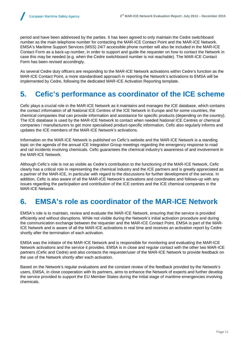period and have been addressed by the parties. It has been agreed to only maintain the Cedre switchboard number as the main telephone number for contacting the MAR-ICE Contact Point and the MAR-ICE Network. EMSA's Maritime Support Services (MSS) 24/7 accessible phone number will also be included in the MAR-ICE Contact Form as a back-up number, in order to support and guide the requester on how to contact the Network in case this may be needed (e.g. when the Cedre switchboard number is not reachable). The MAR-ICE Contact Form has been revised accordingly.

As several Cedre duty officers are responding to the MAR-ICE Network activations within Cedre's function as the MAR-ICE Contact Point, a more standardised approach in reporting the Network's activations to EMSA will be implemented by Cedre, following the dedicated MAR-ICE Activation Reporting template.

### **5. Cefic's performance as coordinator of the ICE scheme**

Cefic plays a crucial role in the MAR-ICE Network as it maintains and manages the ICE database, which contains the contact information of all National ICE Centres of the ICE Network in Europe and for some countries, the chemical companies that can provide information and assistance for specific products (depending on the country). The ICE database is used by the MAR-ICE Network to contact when needed National ICE Centres or chemical companies / manufacturers to get more specialised product-specific information. Cefic also regularly informs and updates the ICE members of the MAR-ICE Network's activations.

Information on the MAR-ICE Network is published on Cefic's website and the MAR-ICE Network is a standing topic on the agenda of the annual ICE Integration Group meetings regarding the emergency response to road and rail incidents involving chemicals. Cefic guarantees the chemical industry's awareness of and involvement in the MAR-ICE Network.

Although Cefic's role is not as visible as Cedre's contribution to the functioning of the MAR-ICE Network, Cefic clearly has a critical role in representing the chemical industry and the ICE partners and is greatly appreciated as a partner of the MAR-ICE, in particular with regard to the discussions for further development of the service. In addition, Cefic is also aware of all the MAR-ICE Network's activations and coordinates and follows-up with any issues regarding the participation and contribution of the ICE centres and the ICE chemical companies in the MAR-ICE Network.

### **6. EMSA's role as coordinator of the MAR-ICE Network**

EMSA's role is to maintain, review and evaluate the MAR-ICE Network, ensuring that the service is provided efficiently and without disruptions. While not visible during the Network's initial activation procedure and during the communication exchange between the requester and the MAR-ICE Contact Point, EMSA is part of the MAR-ICE Network and is aware of all the MAR-ICE activations in real time and receives an activation report by Cedre shortly after the termination of each activation.

EMSA was the initiator of the MAR-ICE Network and is responsible for monitoring and evaluating the MAR-ICE Network activations and the service it provides. EMSA is in close and regular contact with the other two MAR-ICE partners (Cefic and Cedre) and also contacts the requester/user of the MAR-ICE Network to provide feedback on the use of the Network shortly after each activation.

Based on the Network's regular evaluations and the constant review of the feedback provided by the Network's users, EMSA, in close cooperation with its partners, aims to enhance the Network of experts and further develop the service provided to support the EU Member States during the initial stage of maritime emergencies involving chemicals.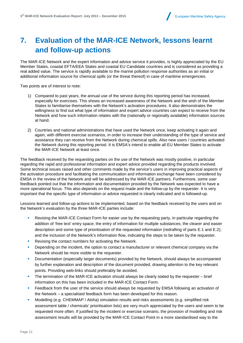

# **7. Evaluation of the MAR-ICE Network, lessons learnt and follow-up actions**

The MAR-ICE Network and the expert information and advice service it provides, is highly appreciated by the EU Member States, coastal EFTA/EEA States and coastal EU Candidate countries and is considered as providing a real added value. The service is rapidly available to the marine pollution response authorities as an initial or additional information source for chemical spills (or the threat thereof) in case of maritime emergencies.

Two points are of interest to note:

- 1) Compared to past years, the annual use of the service during this reporting period has increased, especially for exercises. This shows an increased awareness of the Network and the wish of the Member States to familiarise themselves with the Network's activation procedures. It also demonstrates the willingness to find out what type of information and expert advice countries can expect to receive from the Network and how such information relates with the (nationally or regionally available) information sources at hand.
- 2) Countries and national administrations that have used the Network once, keep activating it again and again, with different exercise scenarios, in order to increase their understanding of the type of service and assistance they can receive from the Network during chemical spills. Also new users / countries activated the Network during this reporting period. It is EMSA's intend to enable all EU Member States to activate the MAR-ICE Network at least once.

The feedback received by the requesting parties on the use of the Network was mostly positive, in particular regarding the rapid and professional information and expert advice provided regarding the products involved. Some technical issues raised and other comments made by the service's users in improving practical aspects of the activation procedure and facilitating the communication and information exchange have been considered by EMSA in the review of the Network and will be addressed by the MAR-ICE partners. Furthermore, some user feedback pointed out that the information and documentation provided by the Network was expected to have a more operational focus. This also depends on the request made and the follow-up by the requester. It is very important that the specific type of information or advice requested is clearly indicated and is followed-up.

Lessons learned and follow-up actions to be implemented, based on the feedback received by the users and on the Network's evaluation by the three MAR-ICE parties include:

- Revising the MAR-ICE Contact Form for easier use by the requesting party, in particular regarding the addition of 'free text' entry space; the entry of information for multiple substances; the clearer and easier description and some type of prioritisation of the requested information (redrafting of parts E.1 and E.2); and the inclusion of the Network's information flow, indicating the steps to be taken by the requester.
- Revising the contact numbers for activating the Network.
- Depending on the incident, the option to contact a manufacturer or relevant chemical company via the Network should be more visible to the requester.
- **Documentation (especially larger documents) provided by the Network, should always be accompanied** by further explanation and description of the document provided, drawing attention to the key relevant points. Providing web-links should preferably be avoided.
- The termination of the MAR-ICE activation should always be clearly stated by the requester brief information on this has been included in the MAR-ICE Contact Form.
- Feedback from the user of the service should always be requested by EMSA following an activation of the Network – a specialised feedback form has been developed for this reason.
- Modelling (e.g. CHEMMAP / Aloha) simulation results and risks assessments (e.g. simplified risk assessment table / chemicals' prioritisation lists) are very much appreciated by the users and seem to be requested more often. If justified by the incident or exercise scenario, the provision of modelling and risk assessment results will be provided by the MAR-ICE Contact Point in a more standardised way to the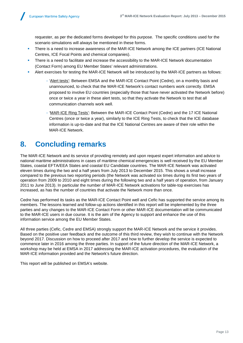requester, as per the dedicated forms developed for this purpose. The specific conditions used for the scenario simulations will always be mentioned in these forms.

- **There is a need to increase awareness of the MAR-ICE Network among the ICE partners (ICE National** Centres, ICE Focal Points and chemical companies).
- **There is a need to facilitate and increase the accessibility to the MAR-ICE Network documentation** (Contact Form) among EU Member States' relevant administrations.
- Alert exercises for testing the MAR-ICE Network will be introduced by the MAR-ICE partners as follows:
	- 'Alert tests': Between EMSA and the MAR-ICE Contact Point (Cedre), on a monthly basis and unannounced, to check that the MAR-ICE Network's contact numbers work correctly. EMSA proposed to involve EU countries (especially those that have never activated the Network before) once or twice a year in these alert tests, so that they activate the Network to test that all communication channels work well.
	- 'MAR-ICE Ring Tests': Between the MAR-ICE Contact Point (Cedre) and the 17 ICE National Centres (once or twice a year), similarly to the ICE Ring Tests, to check that the ICE database information is up-to-date and that the ICE National Centres are aware of their role within the MAR-ICE Network.

# **8. Concluding remarks**

The MAR-ICE Network and its service of providing remotely and upon request expert information and advice to national maritime administrations in cases of maritime chemical emergencies is well received by the EU Member States, coastal EFTA/EEA States and coastal EU Candidate countries. The MAR-ICE Network was activated eleven times during the two and a half years from July 2013 to December 2015. This shows a small increase compared to the previous two reporting periods (the Network was activated six times during its first two years of operation from 2009 to 2010 and eight times during the following two and a half years of operation, from January 2011 to June 2013). In particular the number of MAR-ICE Network activations for table-top exercises has increased, as has the number of countries that activate the Network more than once.

Cedre has performed its tasks as the MAR-ICE Contact Point well and Cefic has supported the service among its members. The lessons learned and follow-up actions identified in this report will be implemented by the three parties and any changes to the MAR-ICE Contact Form or other MAR-ICE documentation will be communicated to the MAR-ICE users in due course. It is the aim of the Agency to support and enhance the use of this information service among the EU Member States.

All three parties (Cefic, Cedre and EMSA) strongly support the MAR-ICE Network and the service it provides. Based on the positive user feedback and the outcome of this third review, they wish to continue with the Network beyond 2017. Discussion on how to proceed after 2017 and how to further develop the service is expected to commence later in 2016 among the three parties. In support of the future direction of the MAR-ICE Network, a workshop may be held at EMSA in 2017 addressing the MAR-ICE activation procedures, the evaluation of the MAR-ICE information provided and the Network's future direction.

This report will be published on EMSA's website.